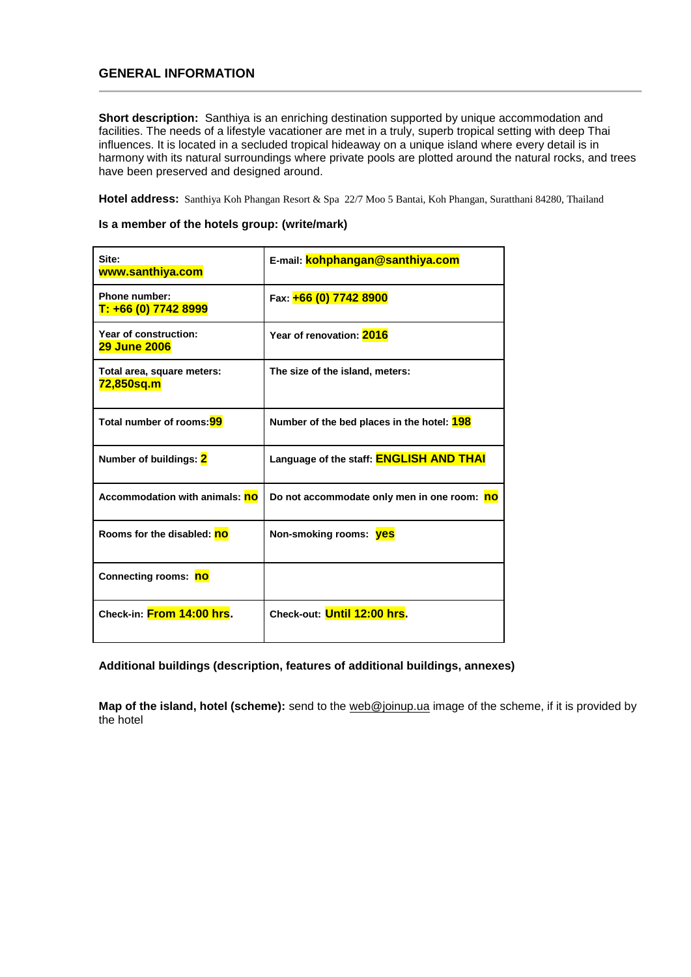## **GENERAL INFORMATION**

**Short description:** Santhiya is an enriching destination supported by unique accommodation and facilities. The needs of a lifestyle vacationer are met in a truly, superb tropical setting with deep Thai influences. It is located in a secluded tropical hideaway on a unique island where every detail is in harmony with its natural surroundings where private pools are plotted around the natural rocks, and trees have been preserved and designed around.

**Hotel address:** Santhiya Koh Phangan Resort & Spa 22/7 Moo 5 Bantai, Koh Phangan, Suratthani 84280, Thailand

#### **Is a member of the hotels group: (write/mark)**

| Site:<br>www.santhiya.com                    | E-mail: kohphangan@santhiya.com                   |
|----------------------------------------------|---------------------------------------------------|
| <b>Phone number:</b><br>T: +66 (0) 7742 8999 | Fax: +66 (0) 7742 8900                            |
| Year of construction:<br><b>29 June 2006</b> | Year of renovation: 2016                          |
| Total area, square meters:<br>72,850sq.m     | The size of the island, meters:                   |
| Total number of rooms: 99                    | Number of the bed places in the hotel: <b>198</b> |
| Number of buildings: 2                       | Language of the staff: <b>ENGLISH AND THAI</b>    |
| <b>Accommodation with animals: no</b>        | Do not accommodate only men in one room: no       |
| Rooms for the disabled: no                   | Non-smoking rooms: <b>yes</b>                     |
| Connecting rooms: no                         |                                                   |
| Check-in: From 14:00 hrs.                    | Check-out: <b>Until 12:00 hrs.</b>                |

**Additional buildings (description, features of additional buildings, annexes)**

**Map of the island, hotel (scheme):** send to the [web@joinup.ua](mailto:web@joinup.ua) image of the scheme, if it is provided by the hotel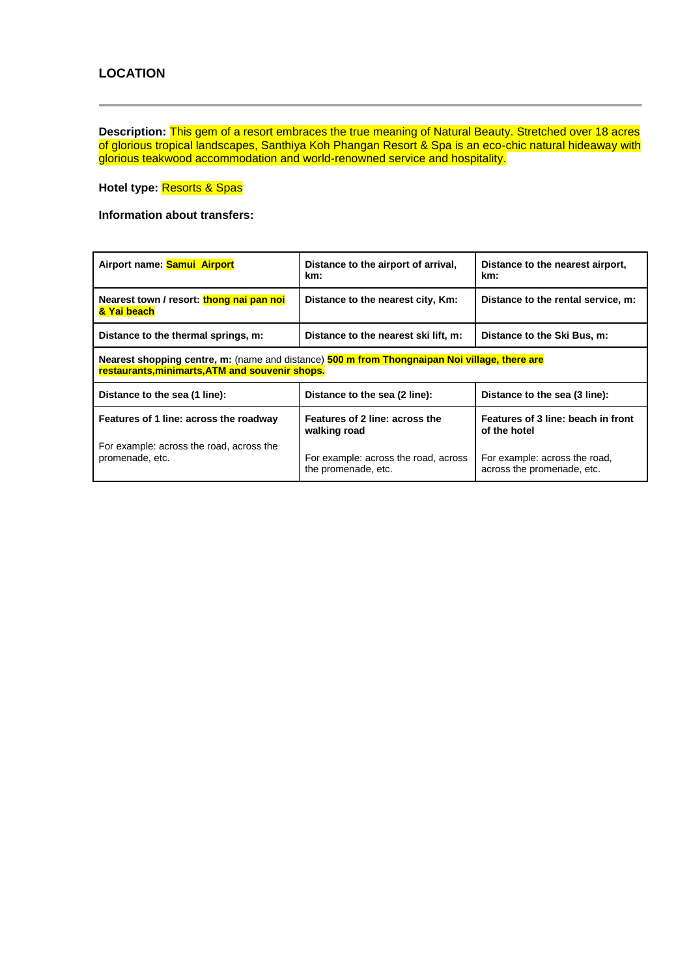**Description:** This gem of a resort embraces the true meaning of Natural Beauty. Stretched over 18 acres of glorious tropical landscapes, Santhiya Koh Phangan Resort & Spa is an eco-chic natural hideaway with glorious teakwood accommodation and world-renowned service and hospitality.

**Hotel type:** Resorts & Spas

**Information about transfers:**

| Airport name: Samui Airport                                                                                                                      | Distance to the airport of arrival,<br>km:                     | Distance to the nearest airport,<br>km:                     |
|--------------------------------------------------------------------------------------------------------------------------------------------------|----------------------------------------------------------------|-------------------------------------------------------------|
| Nearest town / resort: thong nai pan noi<br>& Yai beach                                                                                          | Distance to the nearest city, Km:                              | Distance to the rental service, m:                          |
| Distance to the thermal springs, m:<br>Distance to the nearest ski lift, m:                                                                      |                                                                | Distance to the Ski Bus, m:                                 |
| Nearest shopping centre, m: (name and distance) 500 m from Thongnaipan Noi village, there are<br>restaurants, minimarts, ATM and souvenir shops. |                                                                |                                                             |
| Distance to the sea (1 line):                                                                                                                    | Distance to the sea (2 line):<br>Distance to the sea (3 line): |                                                             |
| Features of 1 line: across the roadway                                                                                                           | Features of 2 line: across the<br>walking road                 | Features of 3 line: beach in front<br>of the hotel          |
| For example: across the road, across the<br>promenade, etc.                                                                                      | For example: across the road, across<br>the promenade, etc.    | For example: across the road,<br>across the promenade, etc. |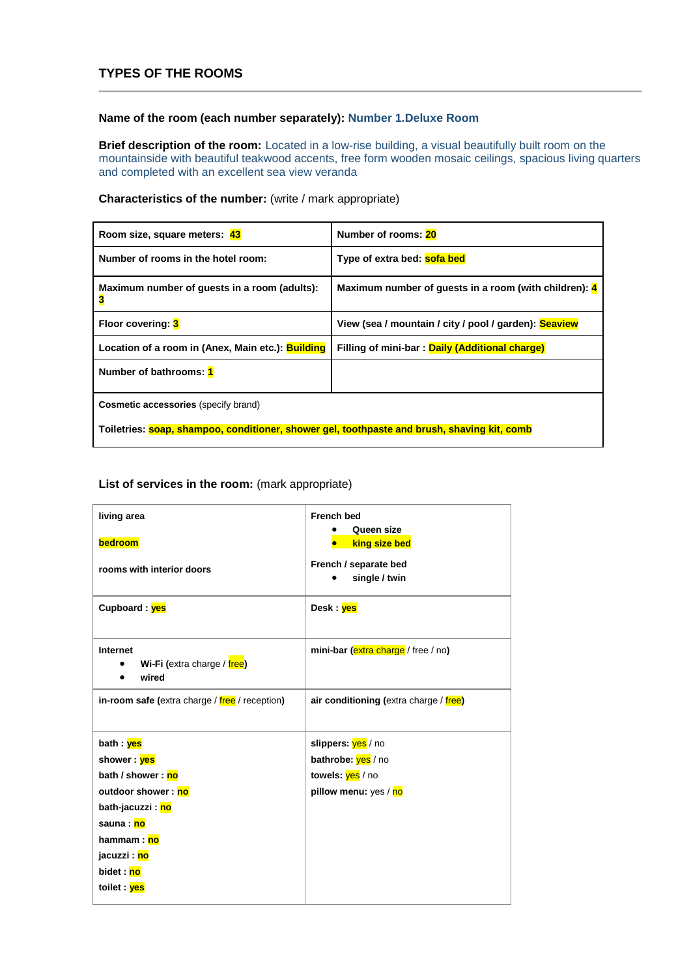## **TYPES OF THE ROOMS**

#### **Name of the room (each number separately): Number 1.Deluxe Room**

**Brief description of the room:** Located in a low-rise building, a visual beautifully built room on the mountainside with beautiful teakwood accents, free form wooden mosaic ceilings, spacious living quarters and completed with an excellent sea view veranda

#### **Characteristics of the number:** (write / mark appropriate)

| Room size, square meters: 43                                                                | Number of rooms: 20                                   |
|---------------------------------------------------------------------------------------------|-------------------------------------------------------|
| Number of rooms in the hotel room:                                                          | Type of extra bed: sofa bed                           |
| Maximum number of guests in a room (adults):<br>3                                           | Maximum number of guests in a room (with children): 4 |
| Floor covering: 3                                                                           | View (sea / mountain / city / pool / garden): Seaview |
| Location of a room in (Anex, Main etc.): Building                                           | Filling of mini-bar: Daily (Additional charge)        |
| Number of bathrooms: 1                                                                      |                                                       |
| <b>Cosmetic accessories</b> (specify brand)                                                 |                                                       |
| Toiletries: soap, shampoo, conditioner, shower gel, toothpaste and brush, shaving kit, comb |                                                       |

| living area                                      | <b>French bed</b><br>Queen size        |
|--------------------------------------------------|----------------------------------------|
| bedroom                                          | king size bed                          |
| rooms with interior doors                        | French / separate bed<br>single / twin |
| Cupboard: yes                                    | Desk : ves                             |
| Internet<br>Wi-Fi (extra charge / free)<br>wired | mini-bar (extra charge / free / no)    |
| in-room safe (extra charge / free / reception)   | air conditioning (extra charge / free) |
| bath : yes                                       | slippers: yes / no                     |
| shower : yes                                     | bathrobe: yes / no                     |
| bath / shower: no                                | towels: yes / no                       |
| outdoor shower : no                              | pillow menu: yes / no                  |
| bath-jacuzzi : <mark>no</mark>                   |                                        |
| sauna : no                                       |                                        |
| hammam : no                                      |                                        |
| jacuzzi : <mark>no</mark>                        |                                        |
| bidet : no                                       |                                        |
| toilet : ves                                     |                                        |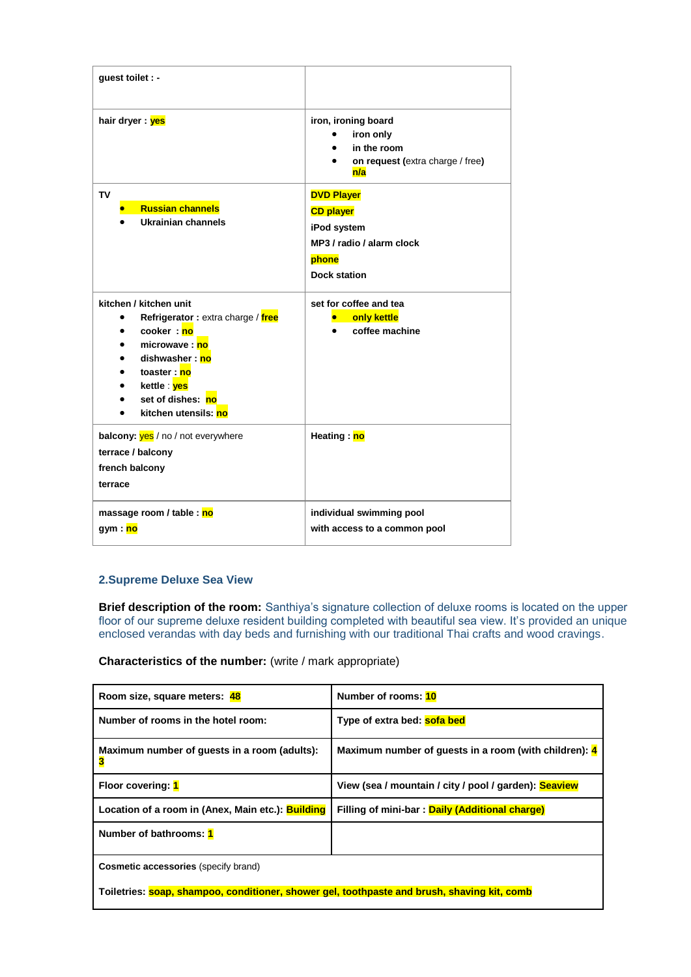| guest toilet : -                                                                                                                                                                                                   |                                                                                                                   |
|--------------------------------------------------------------------------------------------------------------------------------------------------------------------------------------------------------------------|-------------------------------------------------------------------------------------------------------------------|
| hair dryer: yes                                                                                                                                                                                                    | iron, ironing board<br>iron only<br>in the room<br>on request (extra charge / free)<br>n/a                        |
| TV<br><b>Russian channels</b><br>Ukrainian channels                                                                                                                                                                | <b>DVD Player</b><br><b>CD player</b><br>iPod system<br>MP3 / radio / alarm clock<br>phone<br><b>Dock station</b> |
| kitchen / kitchen unit<br>Refrigerator: extra charge / free<br>$\bullet$<br>cooker: no<br>microwave: no<br>dishwasher: no<br>toaster: no<br>kettle : <mark>yes</mark><br>set of dishes: no<br>kitchen utensils: no | set for coffee and tea<br>only kettle<br>coffee machine                                                           |
| <b>balcony:</b> yes / no / not everywhere<br>terrace / balcony<br>french balcony<br>terrace                                                                                                                        | Heating: no                                                                                                       |
| massage room / table : no<br>gym : <mark>no</mark>                                                                                                                                                                 | individual swimming pool<br>with access to a common pool                                                          |

### **2.Supreme Deluxe Sea View**

**Brief description of the room:** Santhiya's signature collection of deluxe rooms is located on the upper floor of our supreme deluxe resident building completed with beautiful sea view. It's provided an unique enclosed verandas with day beds and furnishing with our traditional Thai crafts and wood cravings.

**Characteristics of the number:** (write / mark appropriate)

| Room size, square meters: 48                                                                | Number of rooms: 10                                   |
|---------------------------------------------------------------------------------------------|-------------------------------------------------------|
| Number of rooms in the hotel room:                                                          | Type of extra bed: sofa bed                           |
| Maximum number of guests in a room (adults):<br>3                                           | Maximum number of guests in a room (with children): 4 |
| Floor covering: 1                                                                           | View (sea / mountain / city / pool / garden): Seaview |
| Location of a room in (Anex, Main etc.): <b>Building</b>                                    | Filling of mini-bar: Daily (Additional charge)        |
| Number of bathrooms: 1                                                                      |                                                       |
| <b>Cosmetic accessories (specify brand)</b>                                                 |                                                       |
| Toiletries: soap, shampoo, conditioner, shower gel, toothpaste and brush, shaving kit, comb |                                                       |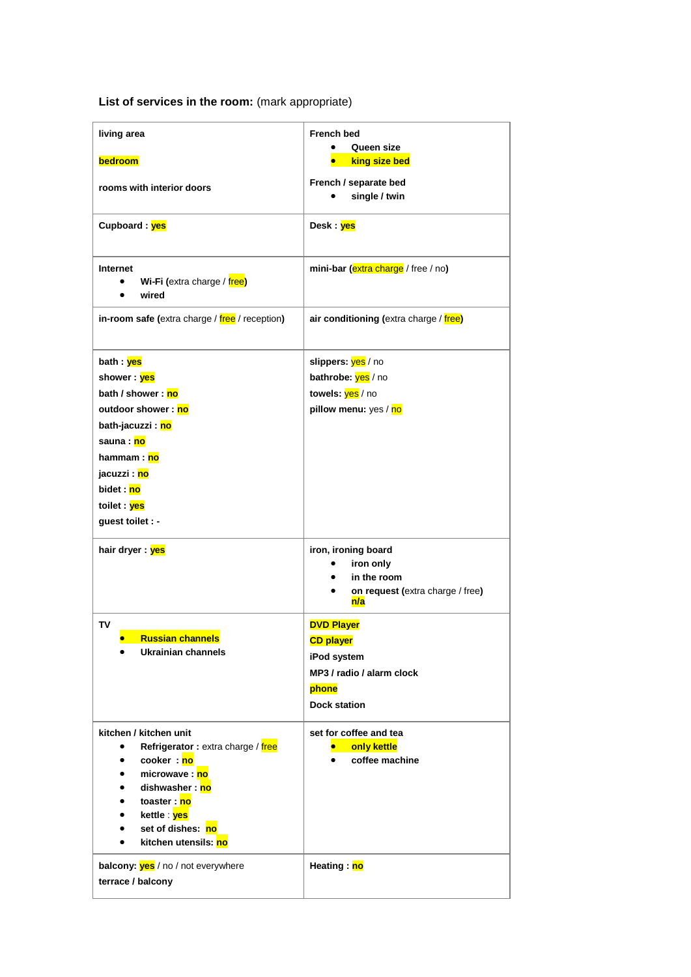| living area                                                                                                                                                                                                                                                                                           | <b>French bed</b><br>Queen size                                                                                   |
|-------------------------------------------------------------------------------------------------------------------------------------------------------------------------------------------------------------------------------------------------------------------------------------------------------|-------------------------------------------------------------------------------------------------------------------|
| bedroom                                                                                                                                                                                                                                                                                               | king size bed                                                                                                     |
| rooms with interior doors                                                                                                                                                                                                                                                                             | French / separate bed<br>single / twin                                                                            |
| Cupboard: yes                                                                                                                                                                                                                                                                                         | Desk : yes                                                                                                        |
| Internet<br>Wi-Fi (extra charge / free)<br>$\bullet$<br>wired<br>$\bullet$                                                                                                                                                                                                                            | mini-bar (extra charge / free / no)                                                                               |
| in-room safe (extra charge / free / reception)                                                                                                                                                                                                                                                        | air conditioning (extra charge / free)                                                                            |
| bath : <mark>yes</mark><br>shower: yes<br>bath / shower: no<br>outdoor shower : no<br>bath-jacuzzi: no<br>sauna : no<br>hammam : no<br>jacuzzi : <mark>no</mark><br>bidet : no<br>toilet : yes<br>guest toilet : -                                                                                    | slippers: yes / no<br>bathrobe: yes / no<br>towels: yes / no<br>pillow menu: yes / no                             |
| hair dryer : yes                                                                                                                                                                                                                                                                                      | iron, ironing board<br>iron only<br>in the room<br>on request (extra charge / free)<br>٠<br>n/a                   |
| TV<br><b>Russian channels</b><br><b>Ukrainian channels</b><br>$\bullet$                                                                                                                                                                                                                               | <b>DVD Player</b><br><b>CD player</b><br>iPod system<br>MP3 / radio / alarm clock<br>phone<br><b>Dock station</b> |
| kitchen / kitchen unit<br>Refrigerator: extra charge / free<br>٠<br>cooker: no<br>$\bullet$<br>microwave: no<br>$\bullet$<br>dishwasher: no<br>$\bullet$<br>toaster: no<br>$\bullet$<br>kettle : <mark>yes</mark><br>$\bullet$<br>set of dishes: no<br>$\bullet$<br>kitchen utensils: no<br>$\bullet$ | set for coffee and tea<br>only kettle<br>$\bullet$ .<br>coffee machine                                            |
| balcony: <b>yes</b> / no / not everywhere<br>terrace / balcony                                                                                                                                                                                                                                        | Heating: no                                                                                                       |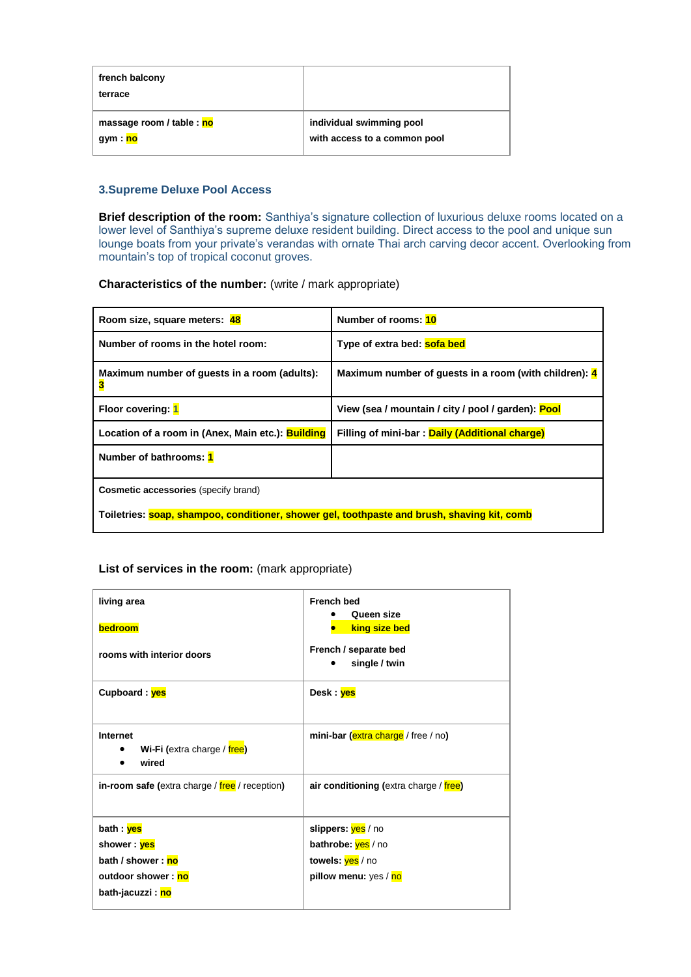| french balcony<br>terrace |                              |
|---------------------------|------------------------------|
| massage room / table : no | individual swimming pool     |
| gym : <mark>no</mark>     | with access to a common pool |

#### **3.Supreme Deluxe Pool Access**

**Brief description of the room:** Santhiya's signature collection of luxurious deluxe rooms located on a lower level of Santhiya's supreme deluxe resident building. Direct access to the pool and unique sun lounge boats from your private's verandas with ornate Thai arch carving decor accent. Overlooking from mountain's top of tropical coconut groves.

**Characteristics of the number:** (write / mark appropriate)

| Room size, square meters: 48                                                                | Number of rooms: 10                                   |
|---------------------------------------------------------------------------------------------|-------------------------------------------------------|
| Number of rooms in the hotel room:                                                          | Type of extra bed: sofa bed                           |
| Maximum number of quests in a room (adults):<br>3                                           | Maximum number of quests in a room (with children): 4 |
| Floor covering: 1                                                                           | View (sea / mountain / city / pool / garden): Pool    |
| Location of a room in (Anex, Main etc.): <b>Building</b>                                    | Filling of mini-bar: Daily (Additional charge)        |
| Number of bathrooms: 1                                                                      |                                                       |
| <b>Cosmetic accessories</b> (specify brand)                                                 |                                                       |
| Toiletries: soap, shampoo, conditioner, shower gel, toothpaste and brush, shaving kit, comb |                                                       |

| living area<br>bedroom<br>rooms with interior doors  | <b>French bed</b><br>Queen size<br>king size bed<br>French / separate bed<br>single / twin |
|------------------------------------------------------|--------------------------------------------------------------------------------------------|
| Cupboard: yes                                        | Desk : <mark>yes</mark>                                                                    |
| Internet<br>Wi-Fi (extra charge / free)<br>wired     | mini-bar (extra charge / free / no)                                                        |
| in-room safe (extra charge / free / reception)       | air conditioning (extra charge / free)                                                     |
| bath : yes                                           | slippers: ves / no                                                                         |
| shower : <mark>yes</mark>                            | bathrobe: yes / no                                                                         |
| bath / shower : no                                   | towels: yes / no                                                                           |
| outdoor shower: no<br>bath-jacuzzi : <mark>no</mark> | pillow menu: yes / no                                                                      |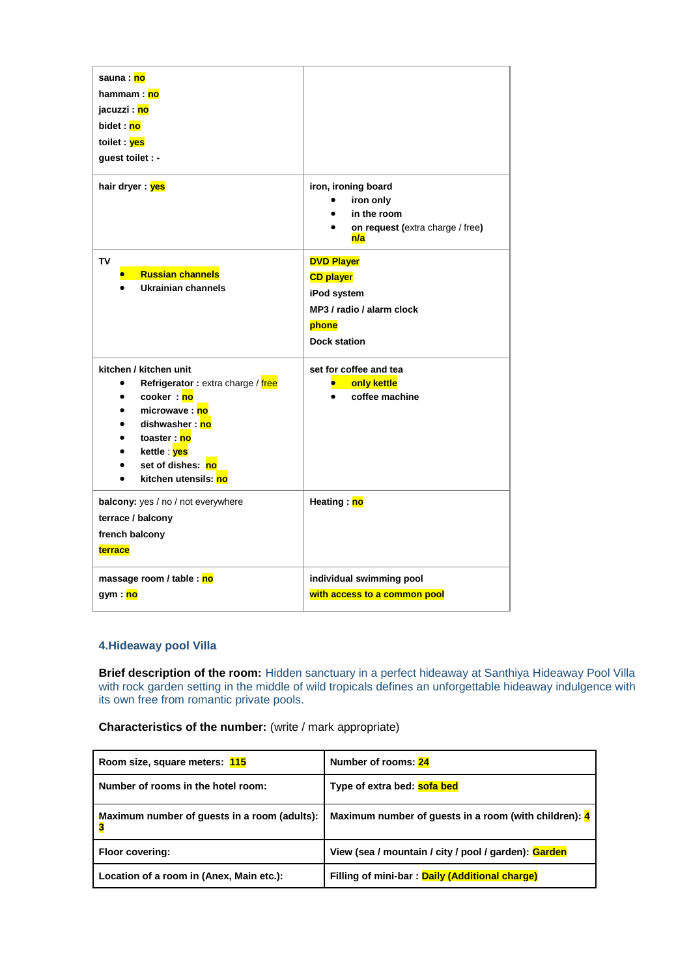| kitchen utensils: no<br>$\bullet$<br>balcony: yes / no / not everywhere<br>terrace / balcony<br>french balcony<br>terrace                                                                                          | Heating: no                                                                                                       |
|--------------------------------------------------------------------------------------------------------------------------------------------------------------------------------------------------------------------|-------------------------------------------------------------------------------------------------------------------|
| kitchen / kitchen unit<br>Refrigerator: extra charge / free<br>$\bullet$<br>cooker: no<br>$\bullet$<br>microwave: no<br>dishwasher: no<br>$\bullet$<br>toaster: no<br>kettle ves<br>$\bullet$<br>set of dishes: no | set for coffee and tea<br>only kettle<br>coffee machine                                                           |
| TV<br><b>Russian channels</b><br>Ukrainian channels                                                                                                                                                                | <b>DVD Player</b><br><b>CD player</b><br>iPod system<br>MP3 / radio / alarm clock<br>phone<br><b>Dock station</b> |
| jacuzzi : <mark>no</mark><br>bidet : no<br>toilet : ves<br>guest toilet : -<br>hair dryer : yes                                                                                                                    | iron, ironing board<br>iron only<br>$\bullet$<br>in the room<br>on request (extra charge / free)<br>n/a           |
| sauna : no<br>hammam: no                                                                                                                                                                                           |                                                                                                                   |

## **4.Hideaway pool Villa**

**Brief description of the room:** Hidden sanctuary in a perfect hideaway at Santhiya Hideaway Pool Villa with rock garden setting in the middle of wild tropicals defines an unforgettable hideaway indulgence with its own free from romantic private pools.

## **Characteristics of the number:** (write / mark appropriate)

| Room size, square meters: 115                | Number of rooms: 24                                   |
|----------------------------------------------|-------------------------------------------------------|
| Number of rooms in the hotel room:           | Type of extra bed: sofa bed                           |
| Maximum number of guests in a room (adults): | Maximum number of guests in a room (with children): 4 |
| <b>Floor covering:</b>                       | View (sea / mountain / city / pool / garden): Garden  |
| Location of a room in (Anex, Main etc.):     | Filling of mini-bar: Daily (Additional charge)        |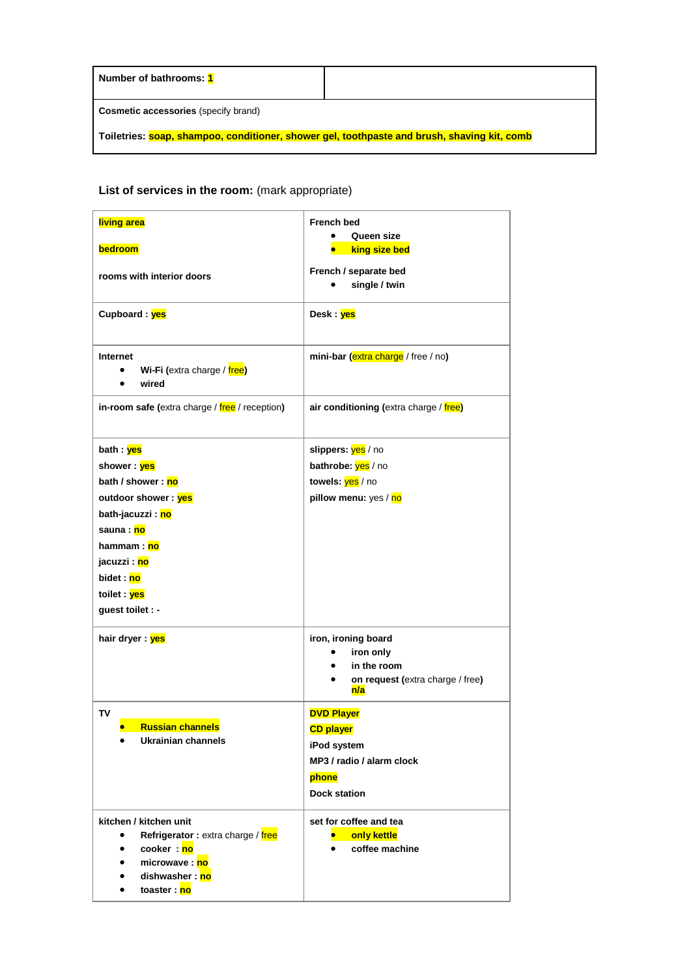| Number of bathrooms: 1                                                                      |  |
|---------------------------------------------------------------------------------------------|--|
| <b>Cosmetic accessories</b> (specify brand)                                                 |  |
| Toiletries: soap, shampoo, conditioner, shower gel, toothpaste and brush, shaving kit, comb |  |

| living area                                                                                                                                                                                           | <b>French bed</b>                                                                                                 |
|-------------------------------------------------------------------------------------------------------------------------------------------------------------------------------------------------------|-------------------------------------------------------------------------------------------------------------------|
| bedroom                                                                                                                                                                                               | Queen size<br>king size bed                                                                                       |
| rooms with interior doors                                                                                                                                                                             | French / separate bed<br>single / twin                                                                            |
| Cupboard: yes                                                                                                                                                                                         | Desk : yes                                                                                                        |
| Internet<br>Wi-Fi (extra charge / free)<br>wired                                                                                                                                                      | mini-bar (extra charge / free / no)                                                                               |
| in-room safe (extra charge / free / reception)                                                                                                                                                        | air conditioning (extra charge / free)                                                                            |
| bath : <mark>yes</mark><br>shower: yes<br>bath / shower: no<br>outdoor shower: yes<br>bath-jacuzzi: no<br>sauna : no<br>hammam : no<br>jacuzzi : no<br>bidet : no<br>toilet : yes<br>guest toilet : - | slippers: yes / no<br>bathrobe: yes / no<br>towels: yes / no<br>pillow menu: yes / no                             |
| hair dryer : yes                                                                                                                                                                                      | iron, ironing board<br>iron only<br>in the room<br>on request (extra charge / free)<br>n/a                        |
| TV<br><b>Russian channels</b><br><b>Ukrainian channels</b><br>$\bullet$                                                                                                                               | <b>DVD Player</b><br><b>CD player</b><br>iPod system<br>MP3 / radio / alarm clock<br>phone<br><b>Dock station</b> |
| kitchen / kitchen unit<br>Refrigerator: extra charge / free<br>cooker: no<br>$\bullet$<br>microwave: no<br>dishwasher: no<br>toaster : no<br>٠                                                        | set for coffee and tea<br>only kettle<br>coffee machine                                                           |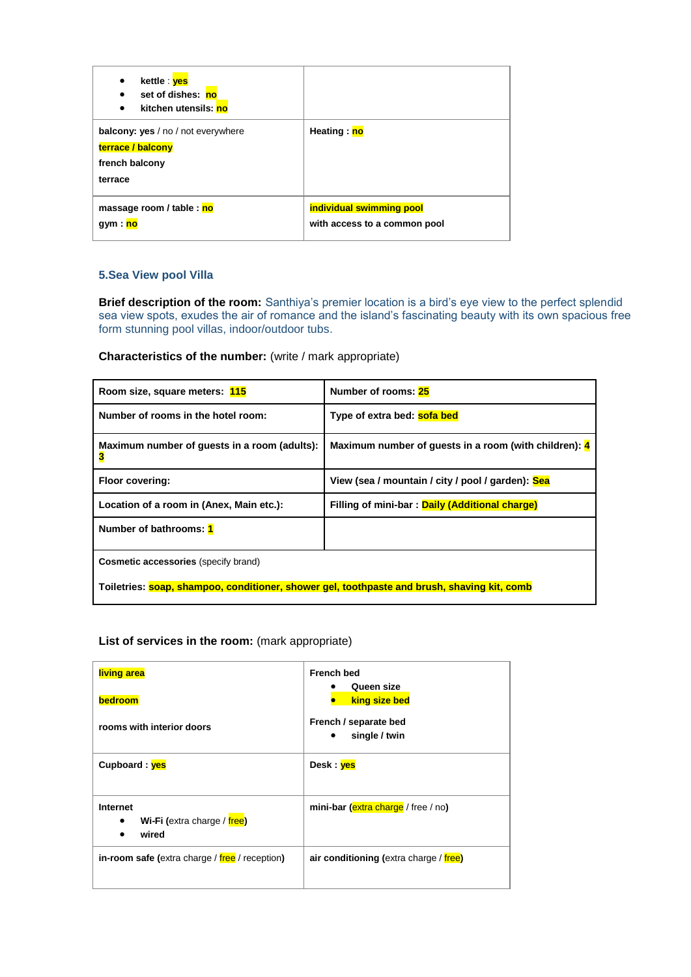| kettle : <mark>yes</mark><br>٠<br>set of dishes: no<br>kitchen utensils: no<br>٠            |                                                          |
|---------------------------------------------------------------------------------------------|----------------------------------------------------------|
| <b>balcony: yes</b> / no / not everywhere<br>terrace / balcony<br>french balcony<br>terrace | Heating: no                                              |
| massage room / table : no<br>gym : <mark>no</mark>                                          | individual swimming pool<br>with access to a common pool |

## **5.Sea View pool Villa**

**Brief description of the room:** Santhiya's premier location is a bird's eye view to the perfect splendid sea view spots, exudes the air of romance and the island's fascinating beauty with its own spacious free form stunning pool villas, indoor/outdoor tubs.

**Characteristics of the number:** (write / mark appropriate)

| Room size, square meters: 115                                                               | Number of rooms: 25                                   |
|---------------------------------------------------------------------------------------------|-------------------------------------------------------|
| Number of rooms in the hotel room:                                                          | Type of extra bed: sofa bed                           |
| Maximum number of guests in a room (adults):<br>3                                           | Maximum number of guests in a room (with children): 4 |
| <b>Floor covering:</b>                                                                      | View (sea / mountain / city / pool / garden): Sea     |
| Location of a room in (Anex, Main etc.):                                                    | Filling of mini-bar: Daily (Additional charge)        |
| Number of bathrooms: 1                                                                      |                                                       |
| <b>Cosmetic accessories</b> (specify brand)                                                 |                                                       |
| Toiletries: soap, shampoo, conditioner, shower gel, toothpaste and brush, shaving kit, comb |                                                       |

| living area<br>bedroom<br>rooms with interior doors | <b>French bed</b><br>Queen size<br>king size bed<br>French / separate bed<br>single / twin |
|-----------------------------------------------------|--------------------------------------------------------------------------------------------|
| Cupboard: yes                                       | Desk : yes                                                                                 |
| Internet<br>Wi-Fi (extra charge / free)<br>wired    | mini-bar (extra charge / free / no)                                                        |
| in-room safe (extra charge / free / reception)      | air conditioning (extra charge / free)                                                     |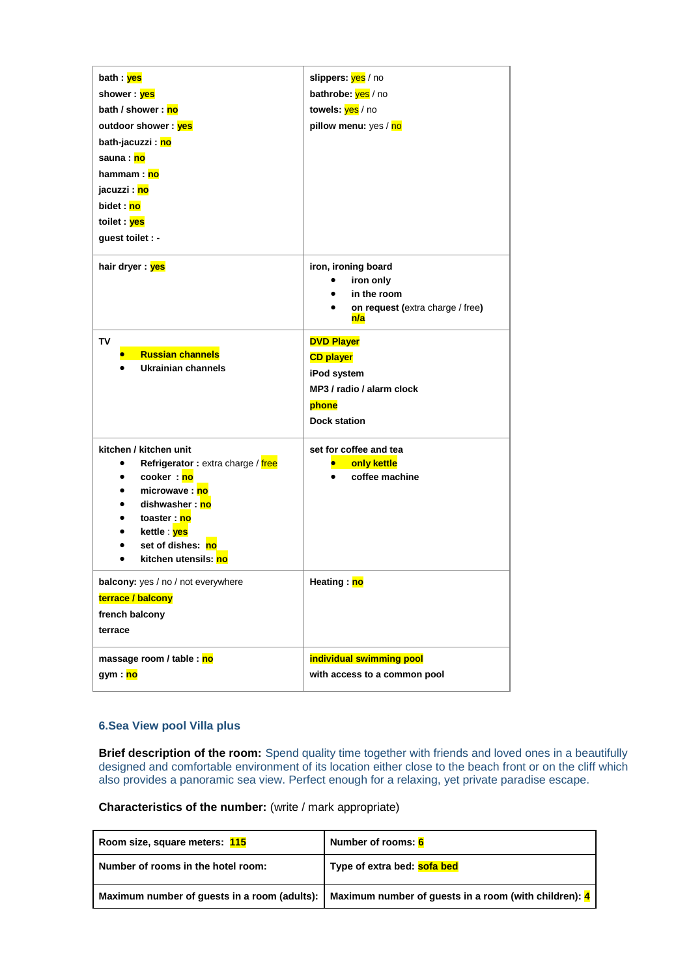| bath : <mark>yes</mark>                        | slippers: yes / no                                                                         |
|------------------------------------------------|--------------------------------------------------------------------------------------------|
| shower : yes                                   | bathrobe: yes / no                                                                         |
| bath / shower: no                              | towels: yes / no                                                                           |
| outdoor shower: yes                            | pillow menu: yes / no                                                                      |
| bath-jacuzzi : <mark>no</mark>                 |                                                                                            |
| sauna : no                                     |                                                                                            |
| hammam : no                                    |                                                                                            |
| jacuzzi : <mark>no</mark>                      |                                                                                            |
| bidet : no                                     |                                                                                            |
| toilet : ves                                   |                                                                                            |
| guest toilet : -                               |                                                                                            |
| hair dryer : yes                               | iron, ironing board<br>iron only<br>in the room<br>on request (extra charge / free)<br>n/a |
| TV                                             | <b>DVD Player</b>                                                                          |
| <b>Russian channels</b>                        | <b>CD player</b>                                                                           |
| Ukrainian channels                             | iPod system                                                                                |
|                                                | MP3 / radio / alarm clock                                                                  |
|                                                | phone                                                                                      |
|                                                | <b>Dock station</b>                                                                        |
|                                                |                                                                                            |
| kitchen / kitchen unit                         | set for coffee and tea                                                                     |
| Refrigerator: extra charge / free<br>$\bullet$ | only kettle                                                                                |
| cooker: no<br>٠                                | coffee machine                                                                             |
| microwave: no                                  |                                                                                            |
| dishwasher: no<br>toaster : no<br>$\bullet$    |                                                                                            |
| kettle : <mark>yes</mark><br>$\bullet$         |                                                                                            |
| set of dishes: no                              |                                                                                            |
| kitchen utensils: no                           |                                                                                            |
| balcony: yes / no / not everywhere             | Heating: no                                                                                |
| terrace / balcony                              |                                                                                            |
| french balcony                                 |                                                                                            |
| terrace                                        |                                                                                            |
|                                                |                                                                                            |
| massage room / table : no                      | individual swimming pool                                                                   |
| gym : <mark>no</mark>                          | with access to a common pool                                                               |
|                                                |                                                                                            |

### **6.Sea View pool Villa plus**

**Brief description of the room:** Spend quality time together with friends and loved ones in a beautifully designed and comfortable environment of its location either close to the beach front or on the cliff which also provides a panoramic sea view. Perfect enough for a relaxing, yet private paradise escape.

**Characteristics of the number:** (write / mark appropriate)

| Room size, square meters: 115      | Number of rooms: 6                                                                                   |
|------------------------------------|------------------------------------------------------------------------------------------------------|
| Number of rooms in the hotel room: | Type of extra bed: <b>sofa bed</b>                                                                   |
|                                    | Maximum number of guests in a room (adults):   Maximum number of guests in a room (with children): 4 |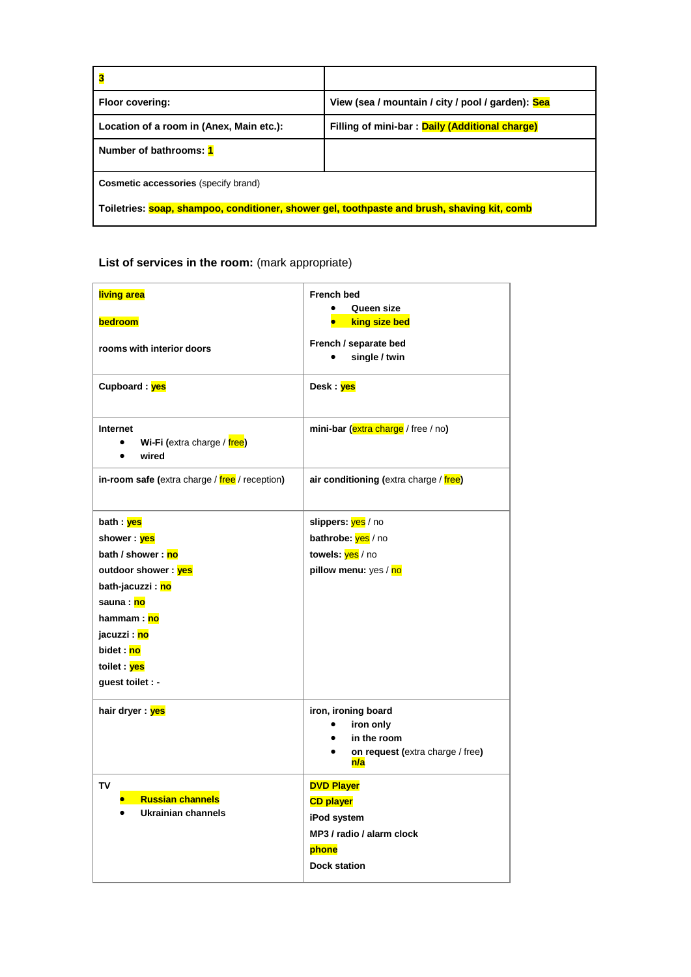| 3                                                                                           |                                                   |
|---------------------------------------------------------------------------------------------|---------------------------------------------------|
| Floor covering:                                                                             | View (sea / mountain / city / pool / garden): Sea |
| Location of a room in (Anex, Main etc.):                                                    | Filling of mini-bar: Daily (Additional charge)    |
| Number of bathrooms: 1                                                                      |                                                   |
| <b>Cosmetic accessories</b> (specify brand)                                                 |                                                   |
| Toiletries: soap, shampoo, conditioner, shower gel, toothpaste and brush, shaving kit, comb |                                                   |

| living area<br>bedroom                                                     | <b>French bed</b><br>Queen size<br>king size bed                                           |
|----------------------------------------------------------------------------|--------------------------------------------------------------------------------------------|
| rooms with interior doors                                                  | French / separate bed<br>single / twin                                                     |
| Cupboard: yes                                                              | Desk : <mark>yes</mark>                                                                    |
| Internet<br>Wi-Fi (extra charge / free)<br>$\bullet$<br>wired<br>$\bullet$ | mini-bar (extra charge / free / no)                                                        |
| in-room safe (extra charge / free / reception)                             | air conditioning (extra charge / free)                                                     |
| bath : <mark>yes</mark><br>shower : <mark>yes</mark>                       | slippers: <mark>yes</mark> / no<br>bathrobe: yes / no                                      |
| bath / shower : no                                                         | towels: yes / no                                                                           |
| outdoor shower: yes                                                        | pillow menu: yes / no                                                                      |
| bath-jacuzzi : <mark>no</mark>                                             |                                                                                            |
| sauna : no                                                                 |                                                                                            |
| hammam : no                                                                |                                                                                            |
| jacuzzi : <mark>no</mark>                                                  |                                                                                            |
| bidet : no                                                                 |                                                                                            |
| toilet : <mark>yes</mark>                                                  |                                                                                            |
| guest toilet : -                                                           |                                                                                            |
|                                                                            |                                                                                            |
| hair dryer : yes                                                           | iron, ironing board<br>iron only<br>in the room<br>on request (extra charge / free)<br>n/a |
| TV<br><b>Russian channels</b><br>Ukrainian channels                        | <b>DVD Player</b><br><b>CD player</b><br>iPod system                                       |
|                                                                            | MP3 / radio / alarm clock                                                                  |
|                                                                            | phone                                                                                      |
|                                                                            | <b>Dock station</b>                                                                        |
|                                                                            |                                                                                            |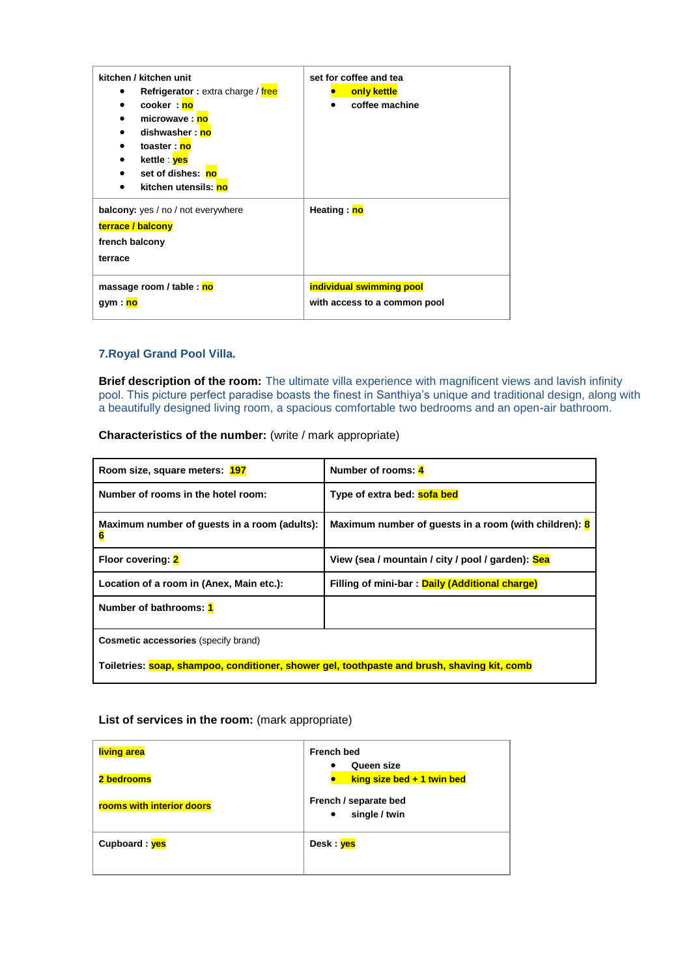| kitchen / kitchen unit<br>Refrigerator: extra charge / free<br>٠<br>cooker: no<br>$\bullet$<br>microwave: no<br>dishwasher: no<br>toaster: no<br>kettle ves<br>set of dishes: no<br>kitchen utensils: no | set for coffee and tea<br>only kettle<br>coffee machine  |
|----------------------------------------------------------------------------------------------------------------------------------------------------------------------------------------------------------|----------------------------------------------------------|
| <b>balcony:</b> yes / no / not everywhere<br>terrace / balcony<br>french balcony<br>terrace                                                                                                              | Heating: no                                              |
| massage room / table : no<br>gym : <mark>no</mark>                                                                                                                                                       | individual swimming pool<br>with access to a common pool |

## **7.Royal Grand Pool Villa.**

**Brief description of the room:** The ultimate villa experience with magnificent views and lavish infinity pool. This picture perfect paradise boasts the finest in Santhiya's unique and traditional design, along with a beautifully designed living room, a spacious comfortable two bedrooms and an open-air bathroom.

**Characteristics of the number:** (write / mark appropriate)

| Room size, square meters: 197                                                               | Number of rooms: 4                                                 |
|---------------------------------------------------------------------------------------------|--------------------------------------------------------------------|
| Number of rooms in the hotel room:                                                          | Type of extra bed: sofa bed                                        |
| Maximum number of guests in a room (adults):<br>6                                           | Maximum number of guests in a room (with children): $\frac{8}{10}$ |
| Floor covering: 2                                                                           | View (sea / mountain / city / pool / garden): Sea                  |
| Location of a room in (Anex, Main etc.):                                                    | Filling of mini-bar: Daily (Additional charge)                     |
| Number of bathrooms: 1                                                                      |                                                                    |
| <b>Cosmetic accessories (specify brand)</b>                                                 |                                                                    |
| Toiletries: soap, shampoo, conditioner, shower gel, toothpaste and brush, shaving kit, comb |                                                                    |

| living area               | <b>French bed</b><br>Queen size                     |
|---------------------------|-----------------------------------------------------|
| 2 bedrooms                | king size bed $+1$ twin bed                         |
| rooms with interior doors | French / separate bed<br>single / twin<br>$\bullet$ |
| Cupboard: yes             | Desk : yes                                          |
|                           |                                                     |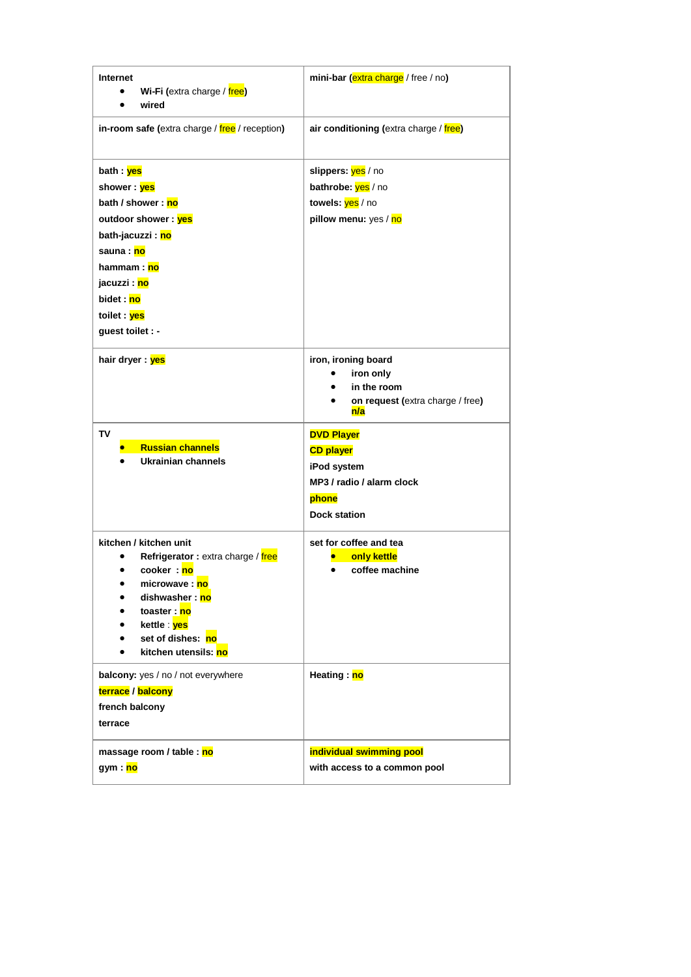| Internet<br>Wi-Fi (extra charge / free)<br>wired                                                                                                                                                                                        | mini-bar (extra charge / free / no)                                                                               |
|-----------------------------------------------------------------------------------------------------------------------------------------------------------------------------------------------------------------------------------------|-------------------------------------------------------------------------------------------------------------------|
| in-room safe (extra charge / free / reception)                                                                                                                                                                                          | air conditioning (extra charge / free)                                                                            |
| bath : <mark>yes</mark><br>shower : yes<br>bath / shower: no<br>outdoor shower: yes<br>bath-jacuzzi : <mark>no</mark><br>sauna : no<br>hammam : <mark>no</mark><br>jacuzzi : <mark>no</mark><br>bidet : no<br>toilet : <mark>yes</mark> | slippers: yes / no<br>bathrobe: yes / no<br>towels: yes / no<br>pillow menu: yes / no                             |
| guest toilet : -<br>hair dryer : yes                                                                                                                                                                                                    | iron, ironing board<br>iron only<br>in the room<br>on request (extra charge / free)<br>n/a                        |
|                                                                                                                                                                                                                                         |                                                                                                                   |
| TV<br><b>Russian channels</b><br><b>Ukrainian channels</b>                                                                                                                                                                              | <b>DVD Player</b><br><b>CD player</b><br>iPod system<br>MP3 / radio / alarm clock<br>phone<br><b>Dock station</b> |
| kitchen / kitchen unit<br>Refrigerator: extra charge / free<br>cooker: no<br>microwave: no<br>dishwasher : no<br>$\bullet$<br>toaster: no<br>kettle : <mark>yes</mark><br>set of dishes: no<br>kitchen utensils: no<br>$\bullet$        | set for coffee and tea<br>only kettle<br>coffee machine                                                           |
| balcony: yes / no / not everywhere<br>terrace / balcony<br>french balcony<br>terrace                                                                                                                                                    | Heating: no                                                                                                       |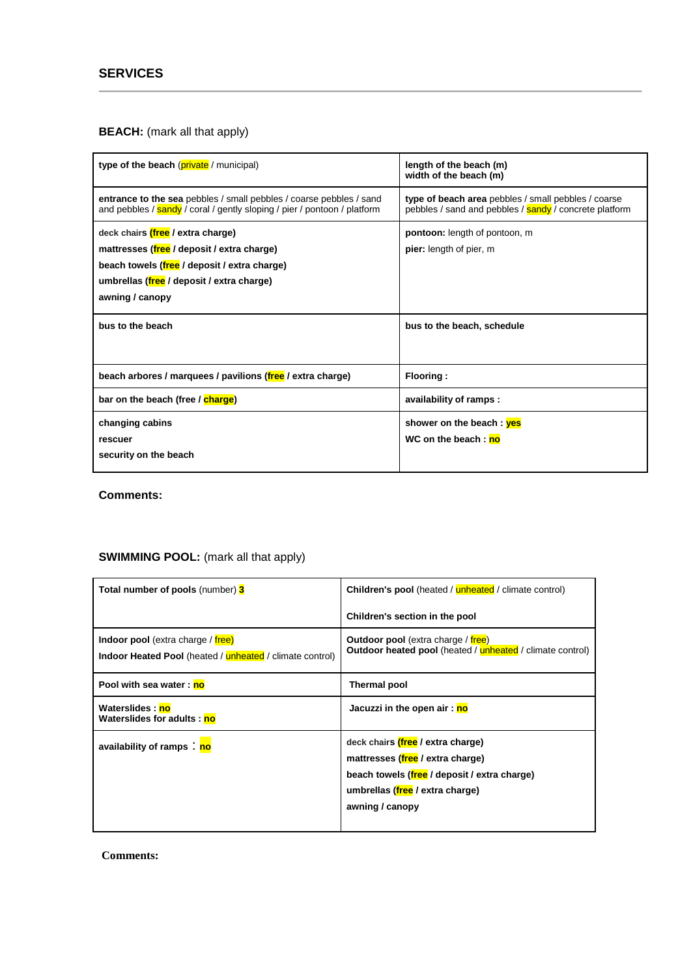## **BEACH:** (mark all that apply)

| type of the beach (private / municipal)                                                                                                                                                         | length of the beach (m)<br>width of the beach (m)                                                             |
|-------------------------------------------------------------------------------------------------------------------------------------------------------------------------------------------------|---------------------------------------------------------------------------------------------------------------|
| entrance to the sea pebbles / small pebbles / coarse pebbles / sand<br>and pebbles / sandy / coral / gently sloping / pier / pontoon / platform                                                 | type of beach area pebbles / small pebbles / coarse<br>pebbles / sand and pebbles / sandy / concrete platform |
| deck chairs (free / extra charge)<br>mattresses (free / deposit / extra charge)<br>beach towels (free / deposit / extra charge)<br>umbrellas (free / deposit / extra charge)<br>awning / canopy | pontoon: length of pontoon, m<br>pier: length of pier, m                                                      |
| bus to the beach                                                                                                                                                                                | bus to the beach, schedule                                                                                    |
| beach arbores / marquees / pavilions (free / extra charge)                                                                                                                                      | Flooring:                                                                                                     |
| bar on the beach (free / charge)                                                                                                                                                                | availability of ramps:                                                                                        |
| changing cabins<br>rescuer<br>security on the beach                                                                                                                                             | shower on the beach: yes<br>WC on the beach: no                                                               |

**Comments:**

# **SWIMMING POOL:** (mark all that apply)

| <b>Total number of pools (number) 3</b>                                                                            | <b>Children's pool</b> (heated / unheated / climate control)                                                                                                                |
|--------------------------------------------------------------------------------------------------------------------|-----------------------------------------------------------------------------------------------------------------------------------------------------------------------------|
|                                                                                                                    | Children's section in the pool                                                                                                                                              |
| <b>Indoor pool</b> (extra charge / free)<br><b>Indoor Heated Pool</b> (heated / <b>unheated</b> / climate control) | <b>Outdoor pool</b> (extra charge / free)<br><b>Outdoor heated pool</b> (heated / unheated / climate control)                                                               |
| Pool with sea water: no                                                                                            | Thermal pool                                                                                                                                                                |
| Waterslides: no<br>Waterslides for adults: no                                                                      | Jacuzzi in the open air: no                                                                                                                                                 |
| availability of ramps: no                                                                                          | deck chairs (free / extra charge)<br>mattresses (free / extra charge)<br>beach towels (free / deposit / extra charge)<br>umbrellas (free / extra charge)<br>awning / canopy |

**Comments:**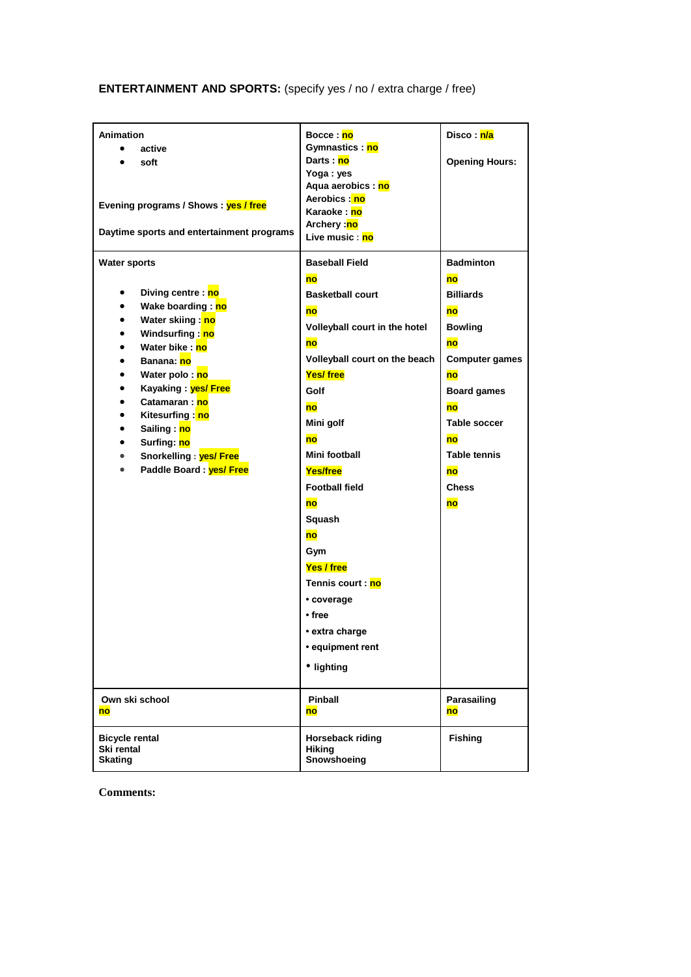**ENTERTAINMENT AND SPORTS:** (specify yes / no / extra charge / free)

| <b>Animation</b><br>active<br>soft<br>Evening programs / Shows: yes / free<br>Daytime sports and entertainment programs                                                                                                                                                                                                                                                                                                                                                                 | Bocce : no<br>Gymnastics : <mark>no</mark><br>Darts : <mark>no</mark><br>Yoga: yes<br>Aqua aerobics : no<br>Aerobics : no<br>Karaoke : <mark>no</mark><br>Archery : <mark>no</mark><br>Live music : no                                                                                                                                                                                     | Disco : <mark>n/a</mark><br><b>Opening Hours:</b>                                                                                                                                                            |
|-----------------------------------------------------------------------------------------------------------------------------------------------------------------------------------------------------------------------------------------------------------------------------------------------------------------------------------------------------------------------------------------------------------------------------------------------------------------------------------------|--------------------------------------------------------------------------------------------------------------------------------------------------------------------------------------------------------------------------------------------------------------------------------------------------------------------------------------------------------------------------------------------|--------------------------------------------------------------------------------------------------------------------------------------------------------------------------------------------------------------|
| <b>Water sports</b><br>Diving centre : no<br>$\bullet$<br>Wake boarding: no<br>$\bullet$<br>Water skiing: no<br>$\bullet$<br>Windsurfing: no<br>$\bullet$<br>Water bike: no<br>$\bullet$<br><b>Banana</b> : no<br>$\bullet$<br>Water polo: no<br>$\bullet$<br>Kayaking: yes/ Free<br>$\bullet$<br>Catamaran: no<br>$\bullet$<br>Kitesurfing: no<br>$\bullet$<br>Sailing: no<br>$\bullet$<br>Surfing: no<br>$\bullet$<br>Snorkelling : yes/ Free<br>$\bullet$<br>Paddle Board: yes/ Free | <b>Baseball Field</b><br>no<br><b>Basketball court</b><br>no<br>Volleyball court in the hotel<br>no<br>Volleyball court on the beach<br>Yes/free<br>Golf<br>no<br>Mini golf<br>no<br>Mini football<br>Yes/free<br><b>Football field</b><br>no<br>Squash<br><b>no</b><br>Gym<br>Yes / free<br>Tennis court : no<br>• coverage<br>• free<br>• extra charge<br>• equipment rent<br>• lighting | <b>Badminton</b><br>no<br><b>Billiards</b><br>no<br><b>Bowling</b><br>no<br><b>Computer games</b><br>no<br>Board games<br>no<br><b>Table soccer</b><br>no<br><b>Table tennis</b><br>no<br><b>Chess</b><br>no |
| Own ski school<br>no                                                                                                                                                                                                                                                                                                                                                                                                                                                                    | Pinball<br>no                                                                                                                                                                                                                                                                                                                                                                              | Parasailing<br>no                                                                                                                                                                                            |
| <b>Bicycle rental</b><br>Ski rental<br><b>Skating</b>                                                                                                                                                                                                                                                                                                                                                                                                                                   | Horseback riding<br><b>Hiking</b><br>Snowshoeing                                                                                                                                                                                                                                                                                                                                           | <b>Fishing</b>                                                                                                                                                                                               |

**Comments:**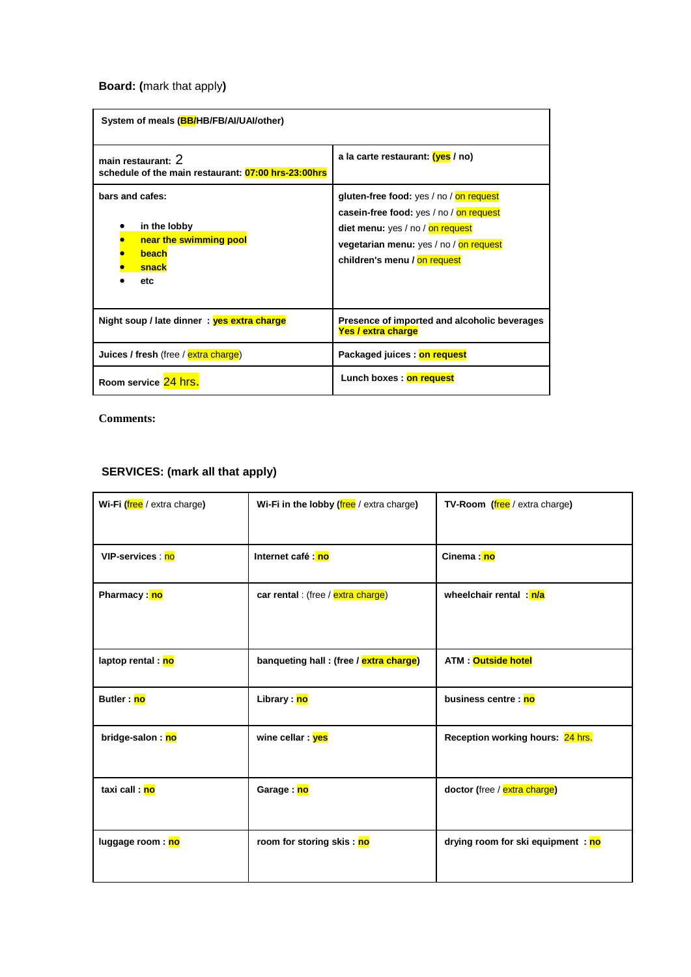**Board: (**mark that apply**)**

| System of meals (BB/HB/FB/AI/UAI/other)                                            |                                                                                                                                                                                                  |  |
|------------------------------------------------------------------------------------|--------------------------------------------------------------------------------------------------------------------------------------------------------------------------------------------------|--|
| main restaurant: 2<br>schedule of the main restaurant: 07:00 hrs-23:00hrs          | a la carte restaurant: (yes / no)                                                                                                                                                                |  |
| bars and cafes:<br>in the lobby<br>near the swimming pool<br>beach<br>snack<br>etc | gluten-free food: yes / no / on request<br>casein-free food: yes / no / on request<br>diet menu: yes / no / on request<br>vegetarian menu: yes / no / on request<br>children's menu / on request |  |
| Night soup / late dinner: yes extra charge                                         | Presence of imported and alcoholic beverages<br>Yes / extra charge                                                                                                                               |  |
| Juices / fresh (free / extra charge)                                               | Packaged juices : on request                                                                                                                                                                     |  |
| Room service 24 hrs.                                                               | Lunch boxes: on request                                                                                                                                                                          |  |

**Comments:**

# **SERVICES: (mark all that apply)**

| Wi-Fi (free / extra charge) | Wi-Fi in the lobby (free / extra charge) | <b>TV-Room</b> (free / extra charge) |
|-----------------------------|------------------------------------------|--------------------------------------|
| VIP-services : no           | Internet café : no                       | Cinema: no                           |
| Pharmacy: no                | car rental : (free / extra charge)       | wheelchair rental: n/a               |
| laptop rental : no          | banqueting hall : (free / extra charge)  | <b>ATM:</b> Outside hotel            |
| Butler: no                  | Library : no                             | business centre : no                 |
| bridge-salon: no            | wine cellar: yes                         | Reception working hours: 24 hrs.     |
| taxi call : no              | Garage: no                               | doctor (free / extra charge)         |
| luggage room: no            | room for storing skis : no               | drying room for ski equipment : no   |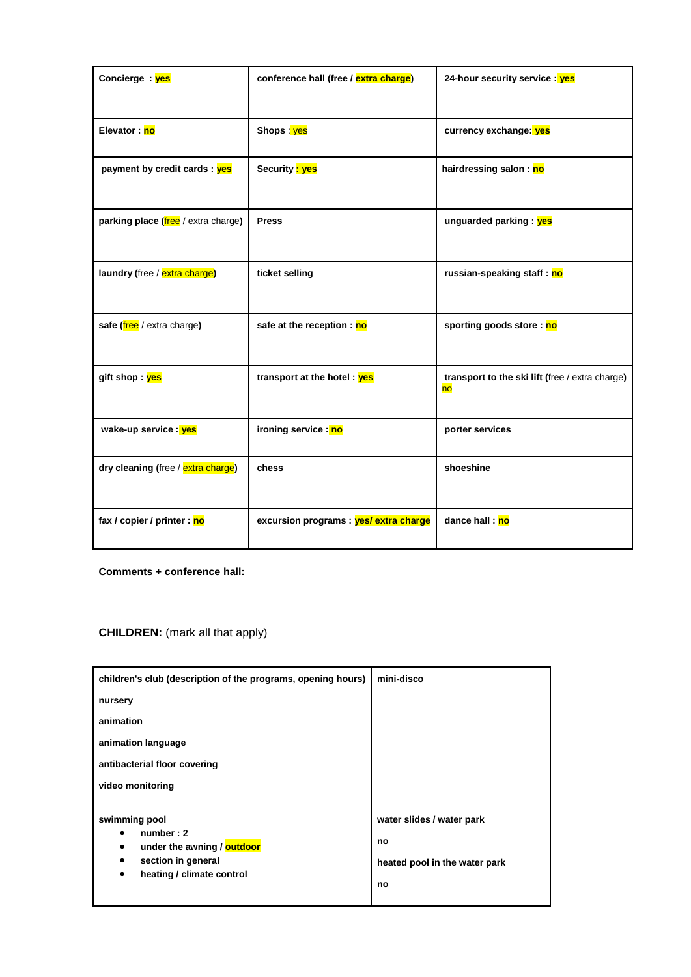| Concierge: yes                      | conference hall (free / extra charge)  | 24-hour security service : yes                        |
|-------------------------------------|----------------------------------------|-------------------------------------------------------|
| Elevator: no                        | Shops : yes                            | currency exchange: yes                                |
| payment by credit cards : yes       | Security <mark>: yes</mark>            | hairdressing salon: no                                |
| parking place (free / extra charge) | <b>Press</b>                           | unguarded parking: yes                                |
| laundry (free / extra charge)       | ticket selling                         | russian-speaking staff: no                            |
| safe (free / extra charge)          | safe at the reception : no             | sporting goods store : no                             |
| gift shop : yes                     | transport at the hotel: yes            | transport to the ski lift (free / extra charge)<br>no |
| wake-up service : yes               | ironing service : no                   | porter services                                       |
| dry cleaning (free / extra charge)  | chess                                  | shoeshine                                             |
| fax / copier / printer : no         | excursion programs : yes/ extra charge | dance hall: no                                        |

**Comments + conference hall:**

**CHILDREN:** (mark all that apply)

| children's club (description of the programs, opening hours) | mini-disco                    |
|--------------------------------------------------------------|-------------------------------|
| nursery                                                      |                               |
| animation                                                    |                               |
| animation language                                           |                               |
| antibacterial floor covering                                 |                               |
| video monitoring                                             |                               |
|                                                              |                               |
| swimming pool                                                | water slides / water park     |
| number: 2<br>under the awning / outdoor<br>٠                 | no                            |
| section in general<br>٠                                      | heated pool in the water park |
| heating / climate control<br>٠                               | no                            |
|                                                              |                               |